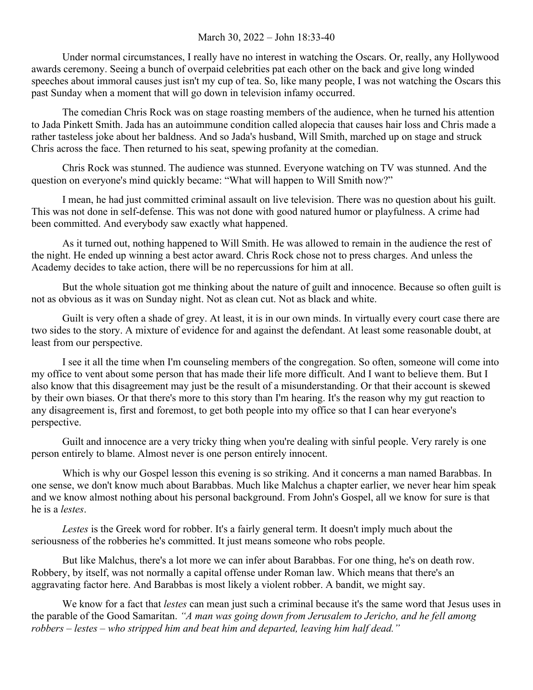## March 30, 2022 – John 18:33-40

Under normal circumstances, I really have no interest in watching the Oscars. Or, really, any Hollywood awards ceremony. Seeing a bunch of overpaid celebrities pat each other on the back and give long winded speeches about immoral causes just isn't my cup of tea. So, like many people, I was not watching the Oscars this past Sunday when a moment that will go down in television infamy occurred.

The comedian Chris Rock was on stage roasting members of the audience, when he turned his attention to Jada Pinkett Smith. Jada has an autoimmune condition called alopecia that causes hair loss and Chris made a rather tasteless joke about her baldness. And so Jada's husband, Will Smith, marched up on stage and struck Chris across the face. Then returned to his seat, spewing profanity at the comedian.

Chris Rock was stunned. The audience was stunned. Everyone watching on TV was stunned. And the question on everyone's mind quickly became: "What will happen to Will Smith now?"

I mean, he had just committed criminal assault on live television. There was no question about his guilt. This was not done in self-defense. This was not done with good natured humor or playfulness. A crime had been committed. And everybody saw exactly what happened.

As it turned out, nothing happened to Will Smith. He was allowed to remain in the audience the rest of the night. He ended up winning a best actor award. Chris Rock chose not to press charges. And unless the Academy decides to take action, there will be no repercussions for him at all.

But the whole situation got me thinking about the nature of guilt and innocence. Because so often guilt is not as obvious as it was on Sunday night. Not as clean cut. Not as black and white.

Guilt is very often a shade of grey. At least, it is in our own minds. In virtually every court case there are two sides to the story. A mixture of evidence for and against the defendant. At least some reasonable doubt, at least from our perspective.

I see it all the time when I'm counseling members of the congregation. So often, someone will come into my office to vent about some person that has made their life more difficult. And I want to believe them. But I also know that this disagreement may just be the result of a misunderstanding. Or that their account is skewed by their own biases. Or that there's more to this story than I'm hearing. It's the reason why my gut reaction to any disagreement is, first and foremost, to get both people into my office so that I can hear everyone's perspective.

Guilt and innocence are a very tricky thing when you're dealing with sinful people. Very rarely is one person entirely to blame. Almost never is one person entirely innocent.

Which is why our Gospel lesson this evening is so striking. And it concerns a man named Barabbas. In one sense, we don't know much about Barabbas. Much like Malchus a chapter earlier, we never hear him speak and we know almost nothing about his personal background. From John's Gospel, all we know for sure is that he is a *lestes*.

*Lestes* is the Greek word for robber. It's a fairly general term. It doesn't imply much about the seriousness of the robberies he's committed. It just means someone who robs people.

But like Malchus, there's a lot more we can infer about Barabbas. For one thing, he's on death row. Robbery, by itself, was not normally a capital offense under Roman law. Which means that there's an aggravating factor here. And Barabbas is most likely a violent robber. A bandit, we might say.

We know for a fact that *lestes* can mean just such a criminal because it's the same word that Jesus uses in the parable of the Good Samaritan. *"A man was going down from Jerusalem to Jericho, and he fell among robbers – lestes – who stripped him and beat him and departed, leaving him half dead."*